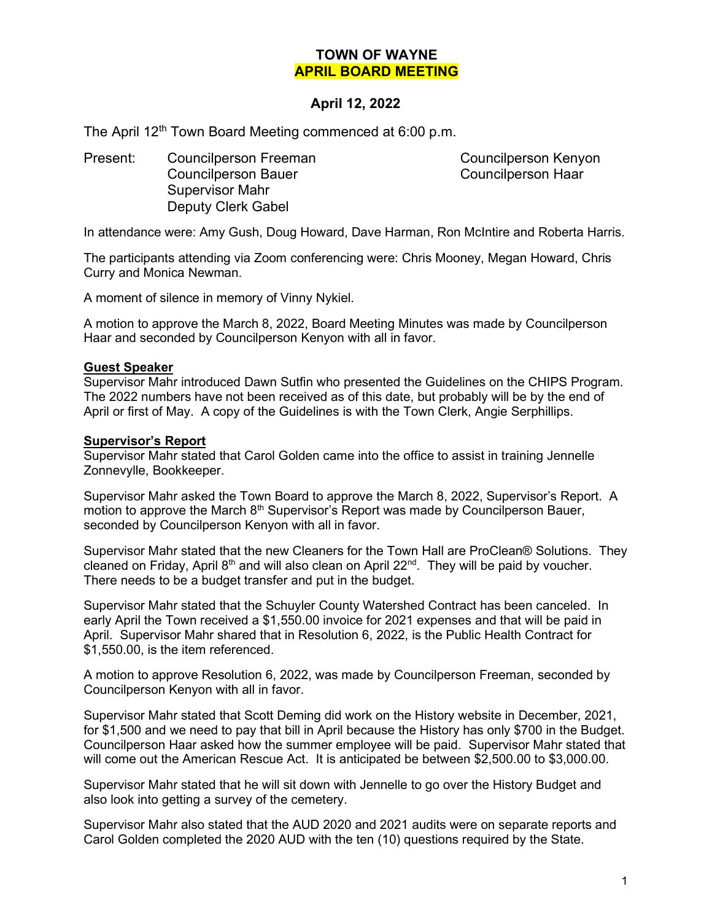# TOWN OF WAYNE APRIL BOARD MEETING

# April 12, 2022

The April 12<sup>th</sup> Town Board Meeting commenced at 6:00 p.m.

Present: Councilperson Freeman Councilperson Kenyon Councilperson Bauer Councilperson Haar Supervisor Mahr Deputy Clerk Gabel

In attendance were: Amy Gush, Doug Howard, Dave Harman, Ron McIntire and Roberta Harris.

The participants attending via Zoom conferencing were: Chris Mooney, Megan Howard, Chris Curry and Monica Newman.

A moment of silence in memory of Vinny Nykiel.

A motion to approve the March 8, 2022, Board Meeting Minutes was made by Councilperson Haar and seconded by Councilperson Kenyon with all in favor.

# Guest Speaker

Supervisor Mahr introduced Dawn Sutfin who presented the Guidelines on the CHIPS Program. The 2022 numbers have not been received as of this date, but probably will be by the end of April or first of May. A copy of the Guidelines is with the Town Clerk, Angie Serphillips.

# Supervisor's Report

Supervisor Mahr stated that Carol Golden came into the office to assist in training Jennelle Zonnevylle, Bookkeeper.

Supervisor Mahr asked the Town Board to approve the March 8, 2022, Supervisor's Report. A motion to approve the March  $8<sup>th</sup>$  Supervisor's Report was made by Councilperson Bauer, seconded by Councilperson Kenyon with all in favor.

Supervisor Mahr stated that the new Cleaners for the Town Hall are ProClean® Solutions. They cleaned on Friday, April  $8<sup>th</sup>$  and will also clean on April 22 $<sup>nd</sup>$ . They will be paid by voucher.</sup> There needs to be a budget transfer and put in the budget.

Supervisor Mahr stated that the Schuyler County Watershed Contract has been canceled. In early April the Town received a \$1,550.00 invoice for 2021 expenses and that will be paid in April. Supervisor Mahr shared that in Resolution 6, 2022, is the Public Health Contract for \$1,550.00, is the item referenced.

A motion to approve Resolution 6, 2022, was made by Councilperson Freeman, seconded by Councilperson Kenyon with all in favor.

Supervisor Mahr stated that Scott Deming did work on the History website in December, 2021, for \$1,500 and we need to pay that bill in April because the History has only \$700 in the Budget. Councilperson Haar asked how the summer employee will be paid. Supervisor Mahr stated that will come out the American Rescue Act. It is anticipated be between \$2,500.00 to \$3,000.00.

Supervisor Mahr stated that he will sit down with Jennelle to go over the History Budget and also look into getting a survey of the cemetery.

Supervisor Mahr also stated that the AUD 2020 and 2021 audits were on separate reports and Carol Golden completed the 2020 AUD with the ten (10) questions required by the State.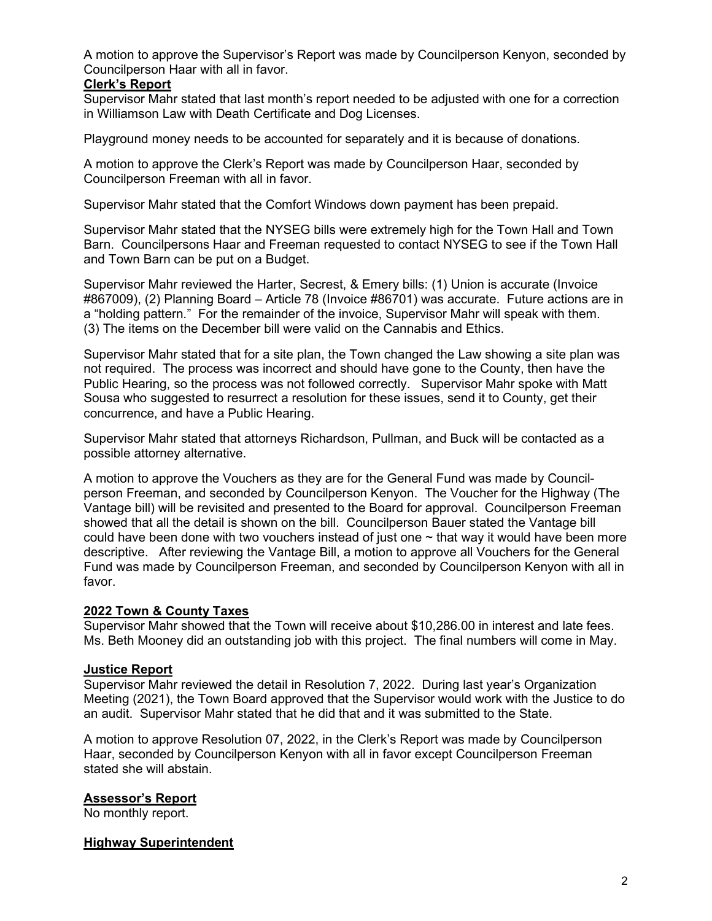A motion to approve the Supervisor's Report was made by Councilperson Kenyon, seconded by Councilperson Haar with all in favor.

## Clerk's Report

Supervisor Mahr stated that last month's report needed to be adjusted with one for a correction in Williamson Law with Death Certificate and Dog Licenses.

Playground money needs to be accounted for separately and it is because of donations.

A motion to approve the Clerk's Report was made by Councilperson Haar, seconded by Councilperson Freeman with all in favor.

Supervisor Mahr stated that the Comfort Windows down payment has been prepaid.

Supervisor Mahr stated that the NYSEG bills were extremely high for the Town Hall and Town Barn. Councilpersons Haar and Freeman requested to contact NYSEG to see if the Town Hall and Town Barn can be put on a Budget.

Supervisor Mahr reviewed the Harter, Secrest, & Emery bills: (1) Union is accurate (Invoice #867009), (2) Planning Board – Article 78 (Invoice #86701) was accurate. Future actions are in a "holding pattern." For the remainder of the invoice, Supervisor Mahr will speak with them. (3) The items on the December bill were valid on the Cannabis and Ethics.

Supervisor Mahr stated that for a site plan, the Town changed the Law showing a site plan was not required. The process was incorrect and should have gone to the County, then have the Public Hearing, so the process was not followed correctly. Supervisor Mahr spoke with Matt Sousa who suggested to resurrect a resolution for these issues, send it to County, get their concurrence, and have a Public Hearing.

Supervisor Mahr stated that attorneys Richardson, Pullman, and Buck will be contacted as a possible attorney alternative.

A motion to approve the Vouchers as they are for the General Fund was made by Councilperson Freeman, and seconded by Councilperson Kenyon. The Voucher for the Highway (The Vantage bill) will be revisited and presented to the Board for approval. Councilperson Freeman showed that all the detail is shown on the bill. Councilperson Bauer stated the Vantage bill could have been done with two vouchers instead of just one  $\sim$  that way it would have been more descriptive. After reviewing the Vantage Bill, a motion to approve all Vouchers for the General Fund was made by Councilperson Freeman, and seconded by Councilperson Kenyon with all in favor.

# 2022 Town & County Taxes

Supervisor Mahr showed that the Town will receive about \$10,286.00 in interest and late fees. Ms. Beth Mooney did an outstanding job with this project. The final numbers will come in May.

# Justice Report

Supervisor Mahr reviewed the detail in Resolution 7, 2022. During last year's Organization Meeting (2021), the Town Board approved that the Supervisor would work with the Justice to do an audit. Supervisor Mahr stated that he did that and it was submitted to the State.

A motion to approve Resolution 07, 2022, in the Clerk's Report was made by Councilperson Haar, seconded by Councilperson Kenyon with all in favor except Councilperson Freeman stated she will abstain.

# Assessor's Report

No monthly report.

#### Highway Superintendent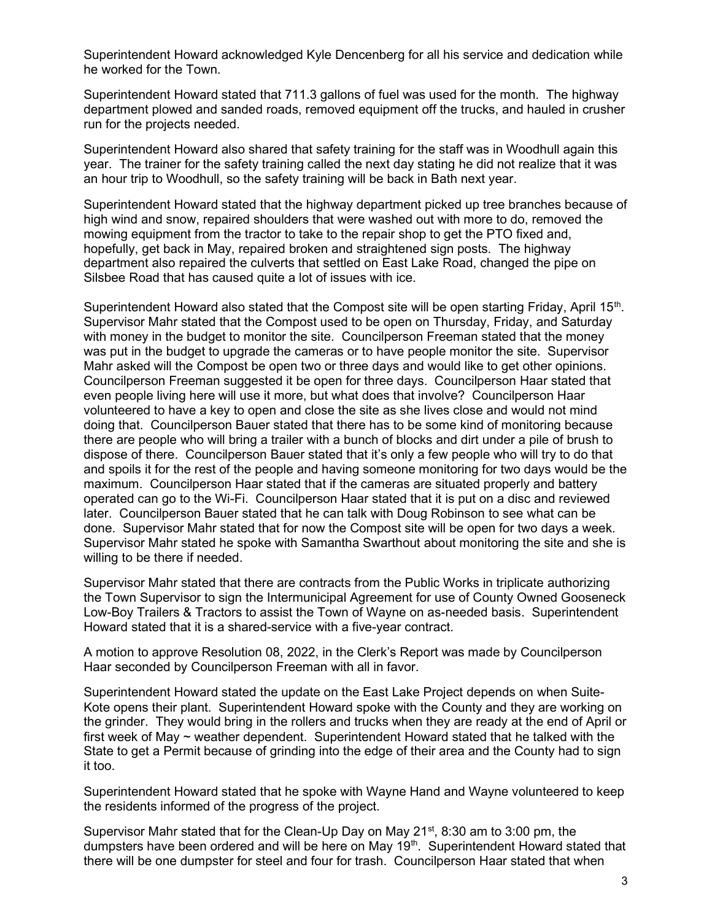Superintendent Howard acknowledged Kyle Dencenberg for all his service and dedication while he worked for the Town.

Superintendent Howard stated that 711.3 gallons of fuel was used for the month. The highway department plowed and sanded roads, removed equipment off the trucks, and hauled in crusher run for the projects needed.

Superintendent Howard also shared that safety training for the staff was in Woodhull again this year. The trainer for the safety training called the next day stating he did not realize that it was an hour trip to Woodhull, so the safety training will be back in Bath next year.

Superintendent Howard stated that the highway department picked up tree branches because of high wind and snow, repaired shoulders that were washed out with more to do, removed the mowing equipment from the tractor to take to the repair shop to get the PTO fixed and, hopefully, get back in May, repaired broken and straightened sign posts. The highway department also repaired the culverts that settled on East Lake Road, changed the pipe on Silsbee Road that has caused quite a lot of issues with ice.

Superintendent Howard also stated that the Compost site will be open starting Friday, April 15<sup>th</sup>. Supervisor Mahr stated that the Compost used to be open on Thursday, Friday, and Saturday with money in the budget to monitor the site. Councilperson Freeman stated that the money was put in the budget to upgrade the cameras or to have people monitor the site. Supervisor Mahr asked will the Compost be open two or three days and would like to get other opinions. Councilperson Freeman suggested it be open for three days. Councilperson Haar stated that even people living here will use it more, but what does that involve? Councilperson Haar volunteered to have a key to open and close the site as she lives close and would not mind doing that. Councilperson Bauer stated that there has to be some kind of monitoring because there are people who will bring a trailer with a bunch of blocks and dirt under a pile of brush to dispose of there. Councilperson Bauer stated that it's only a few people who will try to do that and spoils it for the rest of the people and having someone monitoring for two days would be the maximum. Councilperson Haar stated that if the cameras are situated properly and battery operated can go to the Wi-Fi. Councilperson Haar stated that it is put on a disc and reviewed later. Councilperson Bauer stated that he can talk with Doug Robinson to see what can be done. Supervisor Mahr stated that for now the Compost site will be open for two days a week. Supervisor Mahr stated he spoke with Samantha Swarthout about monitoring the site and she is willing to be there if needed.

Supervisor Mahr stated that there are contracts from the Public Works in triplicate authorizing the Town Supervisor to sign the Intermunicipal Agreement for use of County Owned Gooseneck Low-Boy Trailers & Tractors to assist the Town of Wayne on as-needed basis. Superintendent Howard stated that it is a shared-service with a five-year contract.

A motion to approve Resolution 08, 2022, in the Clerk's Report was made by Councilperson Haar seconded by Councilperson Freeman with all in favor.

Superintendent Howard stated the update on the East Lake Project depends on when Suite-Kote opens their plant. Superintendent Howard spoke with the County and they are working on the grinder. They would bring in the rollers and trucks when they are ready at the end of April or first week of May  $\sim$  weather dependent. Superintendent Howard stated that he talked with the State to get a Permit because of grinding into the edge of their area and the County had to sign it too.

Superintendent Howard stated that he spoke with Wayne Hand and Wayne volunteered to keep the residents informed of the progress of the project.

Supervisor Mahr stated that for the Clean-Up Day on May 21<sup>st</sup>, 8:30 am to 3:00 pm, the dumpsters have been ordered and will be here on May  $19<sup>th</sup>$ . Superintendent Howard stated that there will be one dumpster for steel and four for trash. Councilperson Haar stated that when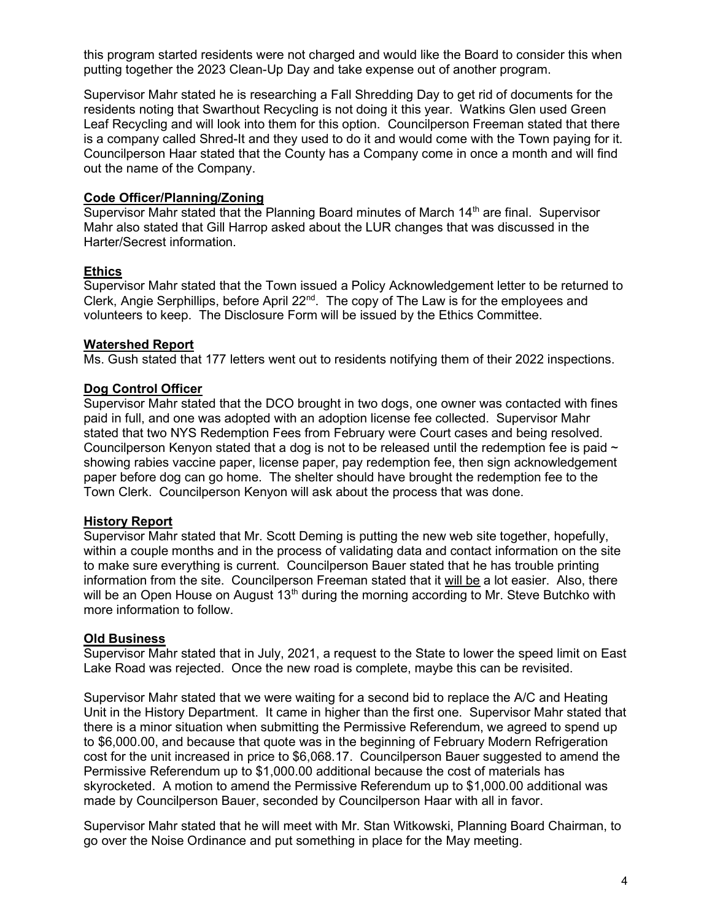this program started residents were not charged and would like the Board to consider this when putting together the 2023 Clean-Up Day and take expense out of another program.

Supervisor Mahr stated he is researching a Fall Shredding Day to get rid of documents for the residents noting that Swarthout Recycling is not doing it this year. Watkins Glen used Green Leaf Recycling and will look into them for this option. Councilperson Freeman stated that there is a company called Shred-It and they used to do it and would come with the Town paying for it. Councilperson Haar stated that the County has a Company come in once a month and will find out the name of the Company.

### Code Officer/Planning/Zoning

Supervisor Mahr stated that the Planning Board minutes of March 14<sup>th</sup> are final. Supervisor Mahr also stated that Gill Harrop asked about the LUR changes that was discussed in the Harter/Secrest information.

### **Ethics**

Supervisor Mahr stated that the Town issued a Policy Acknowledgement letter to be returned to Clerk, Angie Serphillips, before April 22nd. The copy of The Law is for the employees and volunteers to keep. The Disclosure Form will be issued by the Ethics Committee.

# Watershed Report

Ms. Gush stated that 177 letters went out to residents notifying them of their 2022 inspections.

### Dog Control Officer

Supervisor Mahr stated that the DCO brought in two dogs, one owner was contacted with fines paid in full, and one was adopted with an adoption license fee collected. Supervisor Mahr stated that two NYS Redemption Fees from February were Court cases and being resolved. Councilperson Kenyon stated that a dog is not to be released until the redemption fee is paid  $\sim$ showing rabies vaccine paper, license paper, pay redemption fee, then sign acknowledgement paper before dog can go home. The shelter should have brought the redemption fee to the Town Clerk. Councilperson Kenyon will ask about the process that was done.

# History Report

Supervisor Mahr stated that Mr. Scott Deming is putting the new web site together, hopefully, within a couple months and in the process of validating data and contact information on the site to make sure everything is current. Councilperson Bauer stated that he has trouble printing information from the site. Councilperson Freeman stated that it will be a lot easier. Also, there will be an Open House on August  $13<sup>th</sup>$  during the morning according to Mr. Steve Butchko with more information to follow.

#### Old Business

Supervisor Mahr stated that in July, 2021, a request to the State to lower the speed limit on East Lake Road was rejected. Once the new road is complete, maybe this can be revisited.

Supervisor Mahr stated that we were waiting for a second bid to replace the A/C and Heating Unit in the History Department. It came in higher than the first one. Supervisor Mahr stated that there is a minor situation when submitting the Permissive Referendum, we agreed to spend up to \$6,000.00, and because that quote was in the beginning of February Modern Refrigeration cost for the unit increased in price to \$6,068.17. Councilperson Bauer suggested to amend the Permissive Referendum up to \$1,000.00 additional because the cost of materials has skyrocketed. A motion to amend the Permissive Referendum up to \$1,000.00 additional was made by Councilperson Bauer, seconded by Councilperson Haar with all in favor.

Supervisor Mahr stated that he will meet with Mr. Stan Witkowski, Planning Board Chairman, to go over the Noise Ordinance and put something in place for the May meeting.